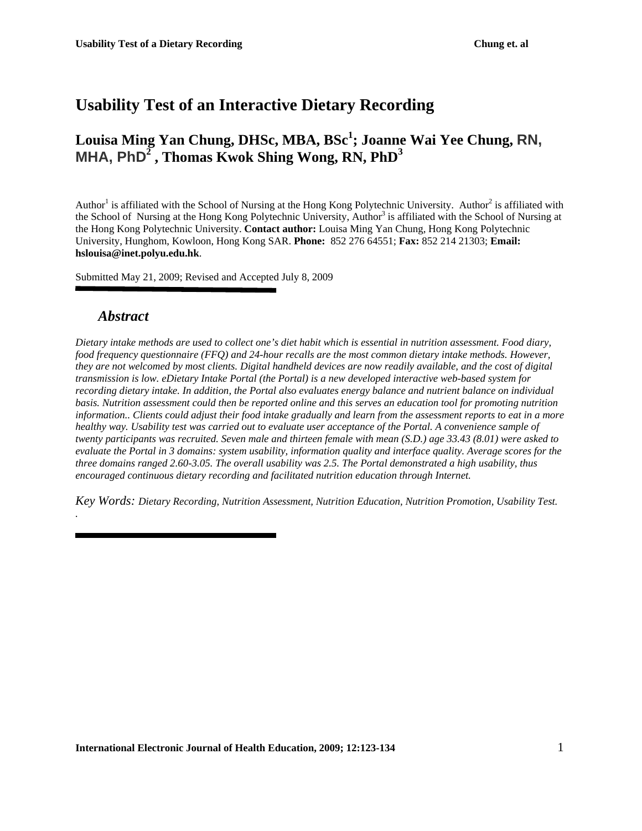# **Usability Test of an Interactive Dietary Recording**

# **Louisa Ming Yan Chung, DHSc, MBA, BSc<sup>1</sup> ; Joanne Wai Yee Chung, RN, MHA, PhD<sup>2</sup> , Thomas Kwok Shing Wong, RN, PhD<sup>3</sup>**

Author<sup>1</sup> is affiliated with the School of Nursing at the Hong Kong Polytechnic University. Author<sup>2</sup> is affiliated with the School of Nursing at the Hong Kong Polytechnic University, Author<sup>3</sup> is affiliated with the School of Nursing at the Hong Kong Polytechnic University. **Contact author:** Louisa Ming Yan Chung, Hong Kong Polytechnic University, Hunghom, Kowloon, Hong Kong SAR. **Phone:** 852 276 64551; **Fax:** 852 214 21303; **Email: hslouisa@inet.polyu.edu.hk**.

Submitted May 21, 2009; Revised and Accepted July 8, 2009

### *Abstract*

*.*

*Dietary intake methods are used to collect one's diet habit which is essential in nutrition assessment. Food diary, food frequency questionnaire (FFQ) and 24-hour recalls are the most common dietary intake methods. However, they are not welcomed by most clients. Digital handheld devices are now readily available, and the cost of digital transmission is low. eDietary Intake Portal (the Portal) is a new developed interactive web-based system for recording dietary intake. In addition, the Portal also evaluates energy balance and nutrient balance on individual basis. Nutrition assessment could then be reported online and this serves an education tool for promoting nutrition information.. Clients could adjust their food intake gradually and learn from the assessment reports to eat in a more healthy way. Usability test was carried out to evaluate user acceptance of the Portal. A convenience sample of twenty participants was recruited. Seven male and thirteen female with mean (S.D.) age 33.43 (8.01) were asked to evaluate the Portal in 3 domains: system usability, information quality and interface quality. Average scores for the three domains ranged 2.60-3.05. The overall usability was 2.5. The Portal demonstrated a high usability, thus encouraged continuous dietary recording and facilitated nutrition education through Internet.* 

*Key Words: Dietary Recording, Nutrition Assessment, Nutrition Education, Nutrition Promotion, Usability Test.*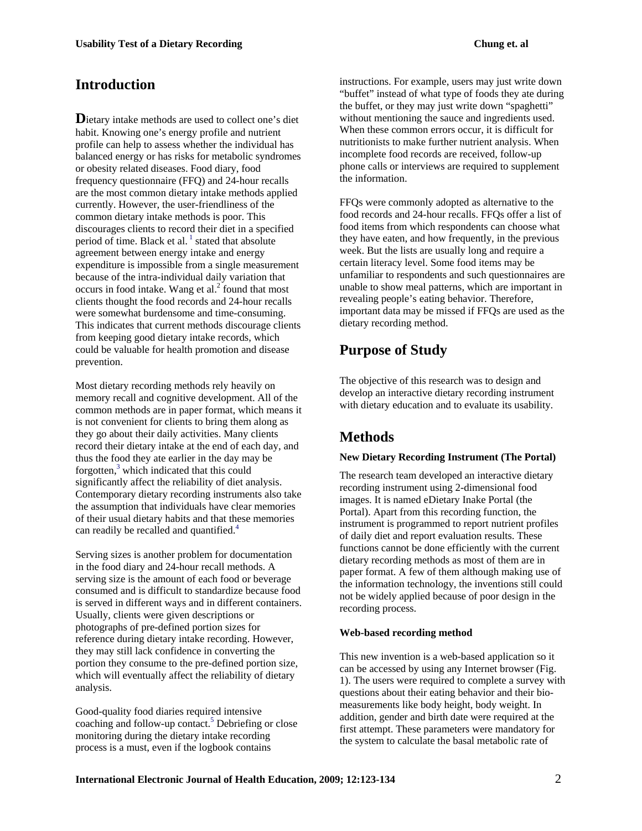### **Introduction**

**D**ietary intake methods are used to collect one's diet habit. Knowing one's energy profile and nutrient profile can help to assess whether the individual has balanced energy or has risks for metabolic syndromes or obesity related diseases. Food diary, food frequency questionnaire (FFQ) and 24-hour recalls are the most common dietary intake methods applied currently. However, the user-friendliness of the common dietary intake methods is poor. This discourages clients to record their diet in a specified period of time. Black et al.  $\frac{1}{1}$  stated that absolute agreement between energy intake and energy expenditure is impossible from a single measurement because of the intra-individual daily variation that occurs in food intake. Wang et al. $^{2}$  found that most clients thought the food records and 24-hour recalls were somewhat burdensome and time-consuming. This indicates that current methods discourage clients from keeping good dietary intake records, which could be valuable for health promotion and disease prevention.

Most dietary recording methods rely heavily on memory recall and cognitive development. All of the common methods are in paper format, which means it is not convenient for clients to bring them along as they go about their daily activities. Many clients record their dietary intake at the end of each day, and thus the food they ate earlier in the day may be forgotten,<sup>3</sup> which indicated that this could significantly affect the reliability of diet analysis. Contemporary dietary recording instruments also take the assumption that individuals have clear memories of their usual dietary habits and that these memories can readily be recalled and quantified.<sup>4</sup>

Serving sizes is another problem for documentation in the food diary and 24-hour recall methods. A serving size is the amount of each food or beverage consumed and is difficult to standardize because food is served in different ways and in different containers. Usually, clients were given descriptions or photographs of pre-defined portion sizes for reference during dietary intake recording. However, they may still lack confidence in converting the portion they consume to the pre-defined portion size, which will eventually affect the reliability of dietary analysis.

Good-quality food diaries required intensive coaching and follow-up contact.<sup>5</sup> Debriefing or close monitoring during the dietary intake recording process is a must, even if the logbook contains

instructions. For example, users may just write down "buffet" instead of what type of foods they ate during the buffet, or they may just write down "spaghetti" without mentioning the sauce and ingredients used. When these common errors occur, it is difficult for nutritionists to make further nutrient analysis. When incomplete food records are received, follow-up phone calls or interviews are required to supplement the information.

FFQs were commonly adopted as alternative to the food records and 24-hour recalls. FFQs offer a list of food items from which respondents can choose what they have eaten, and how frequently, in the previous week. But the lists are usually long and require a certain literacy level. Some food items may be unfamiliar to respondents and such questionnaires are unable to show meal patterns, which are important in revealing people's eating behavior. Therefore, important data may be missed if FFQs are used as the dietary recording method.

## **Purpose of Study**

The objective of this research was to design and develop an interactive dietary recording instrument with dietary education and to evaluate its usability.

## **Methods**

#### **New Dietary Recording Instrument (The Portal)**

The research team developed an interactive dietary recording instrument using 2-dimensional food images. It is named eDietary Inake Portal (the Portal). Apart from this recording function, the instrument is programmed to report nutrient profiles of daily diet and report evaluation results. These functions cannot be done efficiently with the current dietary recording methods as most of them are in paper format. A few of them although making use of the information technology, the inventions still could not be widely applied because of poor design in the recording process.

#### **Web-based recording method**

This new invention is a web-based application so it can be accessed by using any Internet browser (Fig. 1). The users were required to complete a survey with questions about their eating behavior and their biomeasurements like body height, body weight. In addition, gender and birth date were required at the first attempt. These parameters were mandatory for the system to calculate the basal metabolic rate of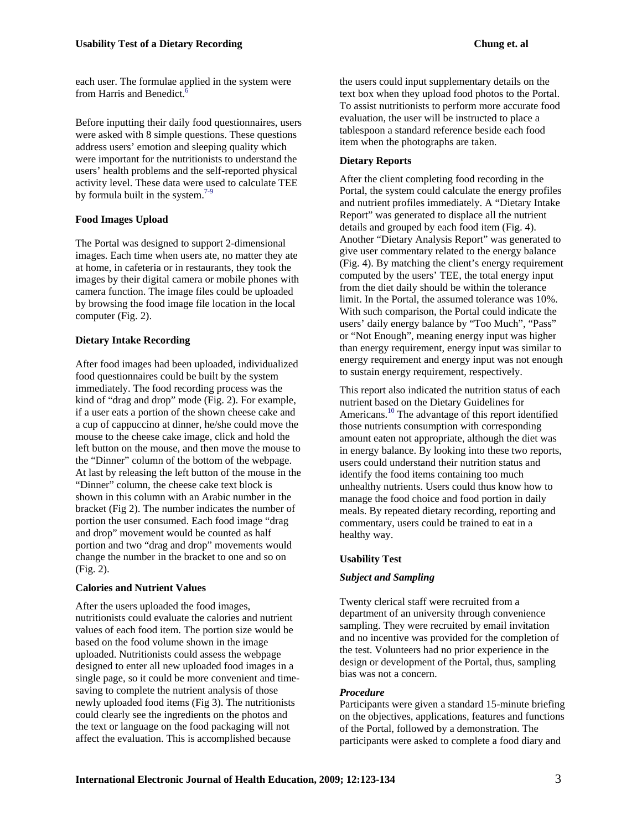each user. The formulae applied in the system were from Harris and Benedict.<sup>6</sup>

Before inputting their daily food questionnaires, users were asked with 8 simple questions. These questions address users' emotion and sleeping quality which were important for the nutritionists to understand the users' health problems and the self-reported physical activity level. These data were used to calculate TEE by formula built in the system. $7-9$ 

#### **Food Images Upload**

The Portal was designed to support 2-dimensional images. Each time when users ate, no matter they ate at home, in cafeteria or in restaurants, they took the images by their digital camera or mobile phones with camera function. The image files could be uploaded by browsing the food image file location in the local computer (Fig. 2).

#### **Dietary Intake Recording**

After food images had been uploaded, individualized food questionnaires could be built by the system immediately. The food recording process was the kind of "drag and drop" mode (Fig. 2). For example, if a user eats a portion of the shown cheese cake and a cup of cappuccino at dinner, he/she could move the mouse to the cheese cake image, click and hold the left button on the mouse, and then move the mouse to the "Dinner" column of the bottom of the webpage. At last by releasing the left button of the mouse in the "Dinner" column, the cheese cake text block is shown in this column with an Arabic number in the bracket (Fig 2). The number indicates the number of portion the user consumed. Each food image "drag and drop" movement would be counted as half portion and two "drag and drop" movements would change the number in the bracket to one and so on (Fig. 2).

#### **Calories and Nutrient Values**

After the users uploaded the food images, nutritionists could evaluate the calories and nutrient values of each food item. The portion size would be based on the food volume shown in the image uploaded. Nutritionists could assess the webpage designed to enter all new uploaded food images in a single page, so it could be more convenient and timesaving to complete the nutrient analysis of those newly uploaded food items (Fig 3). The nutritionists could clearly see the ingredients on the photos and the text or language on the food packaging will not affect the evaluation. This is accomplished because

the users could input supplementary details on the text box when they upload food photos to the Portal. To assist nutritionists to perform more accurate food evaluation, the user will be instructed to place a tablespoon a standard reference beside each food item when the photographs are taken.

#### **Dietary Reports**

After the client completing food recording in the Portal, the system could calculate the energy profiles and nutrient profiles immediately. A "Dietary Intake Report" was generated to displace all the nutrient details and grouped by each food item (Fig. 4). Another "Dietary Analysis Report" was generated to give user commentary related to the energy balance (Fig. 4). By matching the client's energy requirement computed by the users' TEE, the total energy input from the diet daily should be within the tolerance limit. In the Portal, the assumed tolerance was 10%. With such comparison, the Portal could indicate the users' daily energy balance by "Too Much", "Pass" or "Not Enough", meaning energy input was higher than energy requirement, energy input was similar to energy requirement and energy input was not enough to sustain energy requirement, respectively.

This report also indicated the nutrition status of each nutrient based on the Dietary Guidelines for Americans.<sup>10</sup> The advantage of this report identified those nutrients consumption with corresponding amount eaten not appropriate, although the diet was in energy balance. By looking into these two reports, users could understand their nutrition status and identify the food items containing too much unhealthy nutrients. Users could thus know how to manage the food choice and food portion in daily meals. By repeated dietary recording, reporting and commentary, users could be trained to eat in a healthy way.

#### **Usability Test**

#### *Subject and Sampling*

Twenty clerical staff were recruited from a department of an university through convenience sampling. They were recruited by email invitation and no incentive was provided for the completion of the test. Volunteers had no prior experience in the design or development of the Portal, thus, sampling bias was not a concern.

#### *Procedure*

Participants were given a standard 15-minute briefing on the objectives, applications, features and functions of the Portal, followed by a demonstration. The participants were asked to complete a food diary and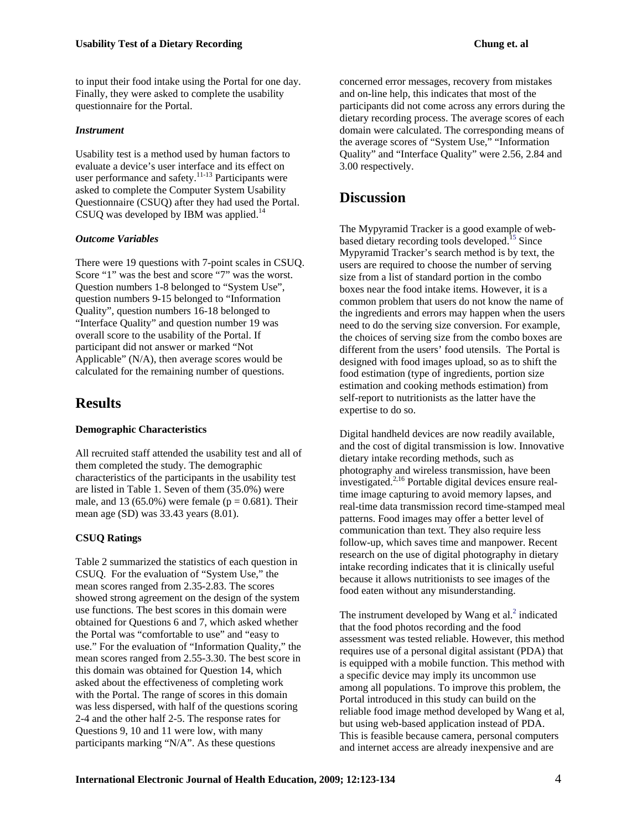to input their food intake using the Portal for one day. Finally, they were asked to complete the usability questionnaire for the Portal.

#### *Instrument*

Usability test is a method used by human factors to evaluate a device's user interface and its effect on user performance and safety. $11-13$  Participants were asked to complete the Computer System Usability Questionnaire (CSUQ) after they had used the Portal. CSUQ was developed by IBM was applied.<sup>14</sup>

#### *Outcome Variables*

There were 19 questions with 7-point scales in CSUQ. Score "1" was the best and score "7" was the worst. Question numbers 1-8 belonged to "System Use", question numbers 9-15 belonged to "Information Quality", question numbers 16-18 belonged to "Interface Quality" and question number 19 was overall score to the usability of the Portal. If participant did not answer or marked "Not Applicable" (N/A), then average scores would be calculated for the remaining number of questions.

## **Results**

#### **Demographic Characteristics**

All recruited staff attended the usability test and all of them completed the study. The demographic characteristics of the participants in the usability test are listed in Table 1. Seven of them (35.0%) were male, and 13 (65.0%) were female ( $p = 0.681$ ). Their mean age (SD) was 33.43 years (8.01).

#### **CSUQ Ratings**

Table 2 summarized the statistics of each question in CSUQ. For the evaluation of "System Use," the mean scores ranged from 2.35-2.83. The scores showed strong agreement on the design of the system use functions. The best scores in this domain were obtained for Questions 6 and 7, which asked whether the Portal was "comfortable to use" and "easy to use." For the evaluation of "Information Quality," the mean scores ranged from 2.55-3.30. The best score in this domain was obtained for Question 14, which asked about the effectiveness of completing work with the Portal. The range of scores in this domain was less dispersed, with half of the questions scoring 2-4 and the other half 2-5. The response rates for Questions 9, 10 and 11 were low, with many participants marking "N/A". As these questions

concerned error messages, recovery from mistakes and on-line help, this indicates that most of the participants did not come across any errors during the dietary recording process. The average scores of each domain were calculated. The corresponding means of the average scores of "System Use," "Information Quality" and "Interface Quality" were 2.56, 2.84 and 3.00 respectively.

### **Discussion**

The Mypyramid Tracker is a good example of webbased dietary recording tools developed.<sup>15</sup> Since Mypyramid Tracker's search method is by text, the users are required to choose the number of serving size from a list of standard portion in the combo boxes near the food intake items. However, it is a common problem that users do not know the name of the ingredients and errors may happen when the users need to do the serving size conversion. For example, the choices of serving size from the combo boxes are different from the users' food utensils. The Portal is designed with food images upload, so as to shift the food estimation (type of ingredients, portion size estimation and cooking methods estimation) from self-report to nutritionists as the latter have the expertise to do so.

Digital handheld devices are now readily available, and the cost of digital transmission is low. Innovative dietary intake recording methods, such as photography and wireless transmission, have been investigated.<sup>2,16</sup> Portable digital devices ensure realtime image capturing to avoid memory lapses, and real-time data transmission record time-stamped meal patterns. Food images may offer a better level of communication than text. They also require less follow-up, which saves time and manpower. Recent research on the use of digital photography in dietary intake recording indicates that it is clinically useful because it allows nutritionists to see images of the food eaten without any misunderstanding.

The instrument developed by Wang et al. $2$  indicated that the food photos recording and the food assessment was tested reliable. However, this method requires use of a personal digital assistant (PDA) that is equipped with a mobile function. This method with a specific device may imply its uncommon use among all populations. To improve this problem, the Portal introduced in this study can build on the reliable food image method developed by Wang et al, but using web-based application instead of PDA. This is feasible because camera, personal computers and internet access are already inexpensive and are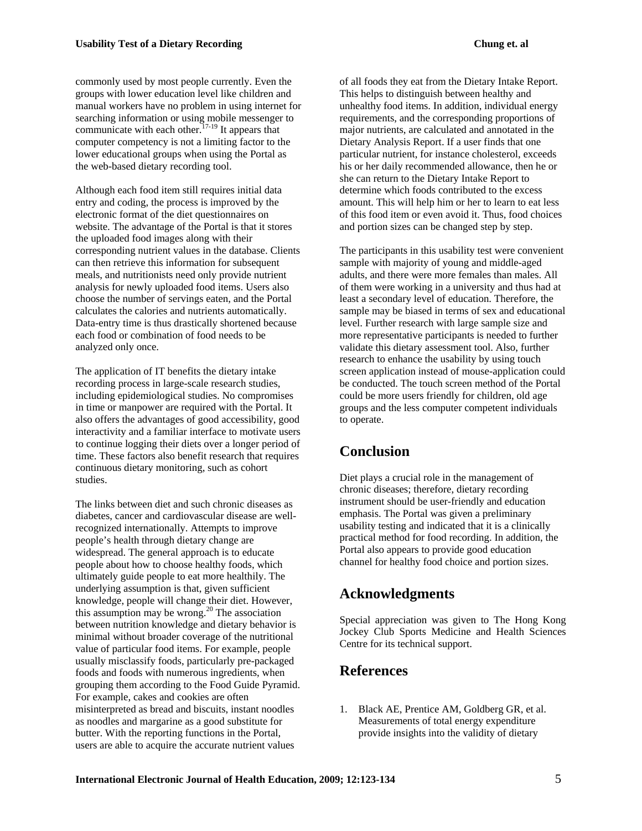commonly used by most people currently. Even the groups with lower education level like children and manual workers have no problem in using internet for searching information or using mobile messenger to communicate with each other.<sup>17-19</sup> It appears that computer competency is not a limiting factor to the lower educational groups when using the Portal as the web-based dietary recording tool.

Although each food item still requires initial data entry and coding, the process is improved by the electronic format of the diet questionnaires on website. The advantage of the Portal is that it stores the uploaded food images along with their corresponding nutrient values in the database. Clients can then retrieve this information for subsequent meals, and nutritionists need only provide nutrient analysis for newly uploaded food items. Users also choose the number of servings eaten, and the Portal calculates the calories and nutrients automatically. Data-entry time is thus drastically shortened because each food or combination of food needs to be analyzed only once.

The application of IT benefits the dietary intake recording process in large-scale research studies, including epidemiological studies. No compromises in time or manpower are required with the Portal. It also offers the advantages of good accessibility, good interactivity and a familiar interface to motivate users to continue logging their diets over a longer period of time. These factors also benefit research that requires continuous dietary monitoring, such as cohort studies.

The links between diet and such chronic diseases as diabetes, cancer and cardiovascular disease are wellrecognized internationally. Attempts to improve people's health through dietary change are widespread. The general approach is to educate people about how to choose healthy foods, which ultimately guide people to eat more healthily. The underlying assumption is that, given sufficient knowledge, people will change their diet. However, this assumption may be wrong. $20$  The association between nutrition knowledge and dietary behavior is minimal without broader coverage of the nutritional value of particular food items. For example, people usually misclassify foods, particularly pre-packaged foods and foods with numerous ingredients, when grouping them according to the Food Guide Pyramid. For example, cakes and cookies are often misinterpreted as bread and biscuits, instant noodles as noodles and margarine as a good substitute for butter. With the reporting functions in the Portal, users are able to acquire the accurate nutrient values

of all foods they eat from the Dietary Intake Report. This helps to distinguish between healthy and unhealthy food items. In addition, individual energy requirements, and the corresponding proportions of major nutrients, are calculated and annotated in the Dietary Analysis Report. If a user finds that one particular nutrient, for instance cholesterol, exceeds his or her daily recommended allowance, then he or she can return to the Dietary Intake Report to determine which foods contributed to the excess amount. This will help him or her to learn to eat less of this food item or even avoid it. Thus, food choices and portion sizes can be changed step by step.

The participants in this usability test were convenient sample with majority of young and middle-aged adults, and there were more females than males. All of them were working in a university and thus had at least a secondary level of education. Therefore, the sample may be biased in terms of sex and educational level. Further research with large sample size and more representative participants is needed to further validate this dietary assessment tool. Also, further research to enhance the usability by using touch screen application instead of mouse-application could be conducted. The touch screen method of the Portal could be more users friendly for children, old age groups and the less computer competent individuals to operate.

## **Conclusion**

Diet plays a crucial role in the management of chronic diseases; therefore, dietary recording instrument should be user-friendly and education emphasis. The Portal was given a preliminary usability testing and indicated that it is a clinically practical method for food recording. In addition, the Portal also appears to provide good education channel for healthy food choice and portion sizes.

## **Acknowledgments**

Special appreciation was given to The Hong Kong Jockey Club Sports Medicine and Health Sciences Centre for its technical support.

## **References**

1. Black AE, Prentice AM, Goldberg GR, et al. Measurements of total energy expenditure provide insights into the validity of dietary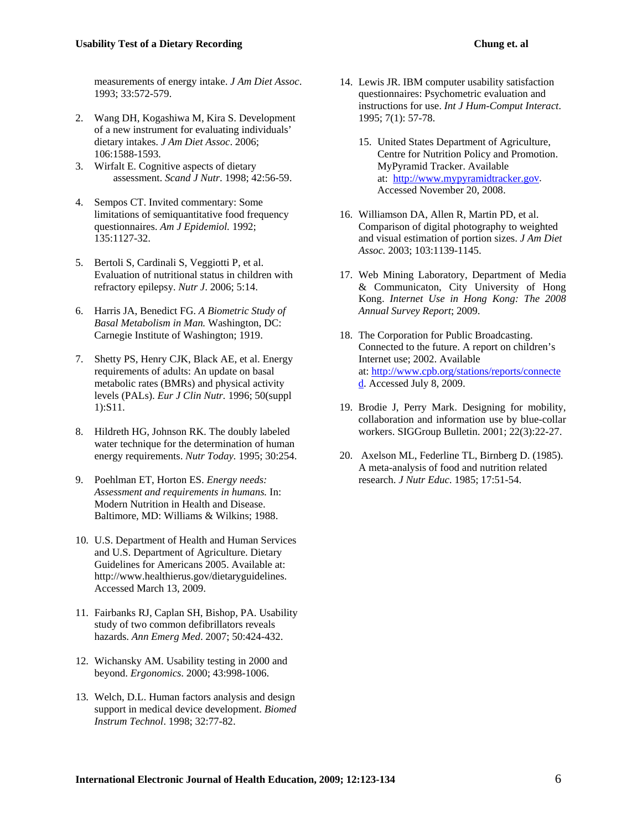measurements of energy intake. *J Am Diet Assoc*. 1993; 33:572-579.

- 2. Wang DH, Kogashiwa M, Kira S. Development of a new instrument for evaluating individuals' dietary intakes. *J Am Diet Assoc*. 2006; 106:1588-1593.
- 3. Wirfalt E. Cognitive aspects of dietary assessment. *Scand J Nutr*. 1998; 42:56-59.
- 4. Sempos CT. Invited commentary: Some limitations of semiquantitative food frequency questionnaires. *Am J Epidemiol.* 1992; 135:1127-32.
- 5. Bertoli S, Cardinali S, Veggiotti P, et al. Evaluation of nutritional status in children with refractory epilepsy. *Nutr J*. 2006; 5:14.
- 6. Harris JA, Benedict FG. *A Biometric Study of Basal Metabolism in Man.* Washington, DC: Carnegie Institute of Washington; 1919.
- 7. Shetty PS, Henry CJK, Black AE, et al. Energy requirements of adults: An update on basal metabolic rates (BMRs) and physical activity levels (PALs). *Eur J Clin Nutr.* 1996; 50(suppl 1):S11.
- 8. Hildreth HG, Johnson RK. The doubly labeled water technique for the determination of human energy requirements. *Nutr Today.* 1995; 30:254.
- 9. Poehlman ET, Horton ES. *Energy needs: Assessment and requirements in humans.* In: Modern Nutrition in Health and Disease. Baltimore, MD: Williams & Wilkins; 1988.
- 10. U.S. Department of Health and Human Services and U.S. Department of Agriculture. Dietary Guidelines for Americans 2005. Available at: http://www.healthierus.gov/dietaryguidelines. Accessed March 13, 2009.
- 11. Fairbanks RJ, Caplan SH, Bishop, PA. Usability study of two common defibrillators reveals hazards. *Ann Emerg Med*. 2007; 50:424-432.
- 12. Wichansky AM. Usability testing in 2000 and beyond. *Ergonomics*. 2000; 43:998-1006.
- 13. Welch, D.L. Human factors analysis and design support in medical device development. *Biomed Instrum Technol*. 1998; 32:77-82.
- 14. Lewis JR. IBM computer usability satisfaction questionnaires: Psychometric evaluation and instructions for use. *Int J Hum-Comput Interact*. 1995; 7(1): 57-78.
	- at: [http://www.mypyramidtracker.go](http://www.mypyramidtracker.gov/)v. 15. United States Department of Agriculture, Centre for Nutrition Policy and Promotion. MyPyramid Tracker. Available [Accessed November 20, 2008.](http://www.mypyramidtracker.gov/)
- 16. Williamson DA, Allen R, Martin PD, et al. Comparison of digital photography to weighted and visual estimation of portion sizes. *J Am Diet Assoc.* 2003; 103:1139-1145.
- 17. Web Mining Laboratory, Department of Media & Communicaton, City University of Hong Kong. *Internet Use in Hong Kong: The 2008 Annual Survey Report*; 2009.
- 18. The Corporation for Public Broadcasting. Connected to the future. A report on children's Internet use; 2002. Available at: [http://www.cpb.org/stations/reports/connecte](http://www.cpb.org/stations/reports/connected) [d.](http://www.cpb.org/stations/reports/connected) Accessed July 8, 2009.
- 19. Brodie J, Perry Mark. Designing for mobility, collaboration and information use by blue-collar workers. SIGGroup Bulletin. 2001; 22(3):22-27.
- 20. Axelson ML, Federline TL, Birnberg D. (1985). A meta-analysis of food and nutrition related research. *J Nutr Educ*. 1985; 17:51-54.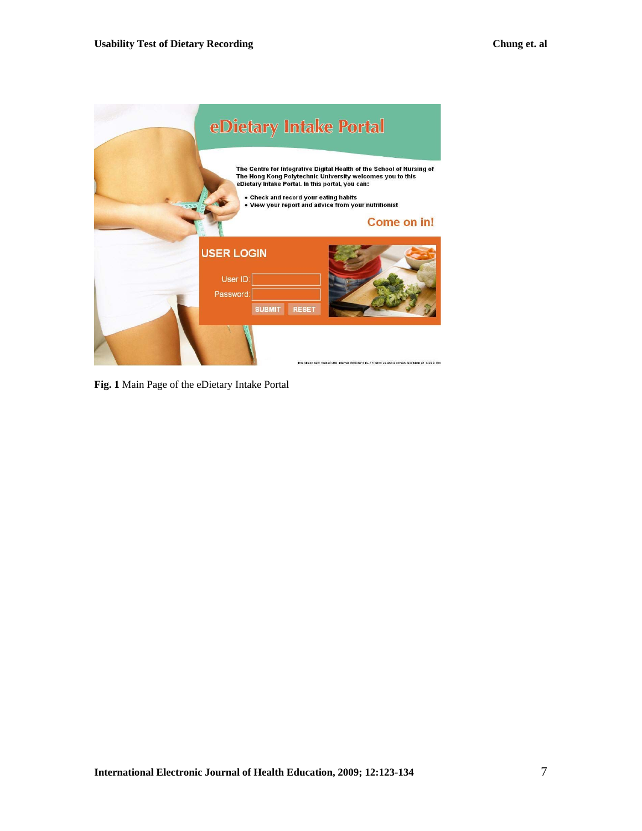

**Fig. 1** Main Page of the eDietary Intake Portal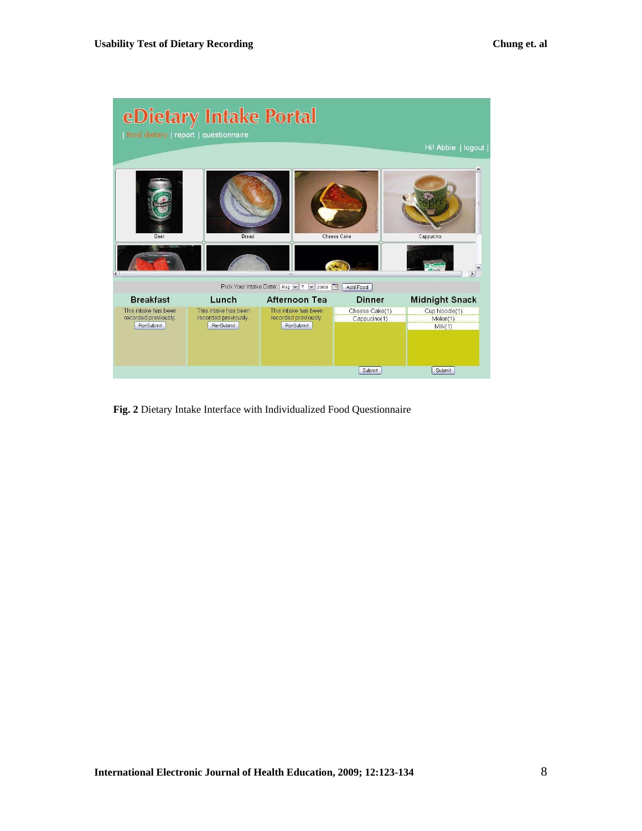| food dietary   report   questionnaire                     | eDietary Intake Portal                                    |                                                           |                                          |                                                |
|-----------------------------------------------------------|-----------------------------------------------------------|-----------------------------------------------------------|------------------------------------------|------------------------------------------------|
|                                                           |                                                           |                                                           |                                          | Hi! Abbie   logout                             |
| Beer<br>$\leq$                                            | <b>Bread</b>                                              | 31                                                        | Cheese Cake                              | Cappucino<br>$\rightarrow$                     |
|                                                           |                                                           | Pick Your Intake Date: Aug v 7 v 2008                     | Add Food                                 |                                                |
| <b>Breakfast</b>                                          | Lunch                                                     | Afternoon Tea                                             | <b>Dinner</b>                            | <b>Midnight Snack</b>                          |
| This intake has been<br>recorded previously.<br>Re-Submit | This intake has been<br>recorded previously.<br>Re-Submit | This intake has been<br>recorded previously.<br>Re-Submit | Cheese Cake(1)<br>Cappucino(1)<br>Submit | Cup Noodle(1)<br>Melon(1)<br>Milk(1)<br>Submit |

**Fig. 2** Dietary Intake Interface with Individualized Food Questionnaire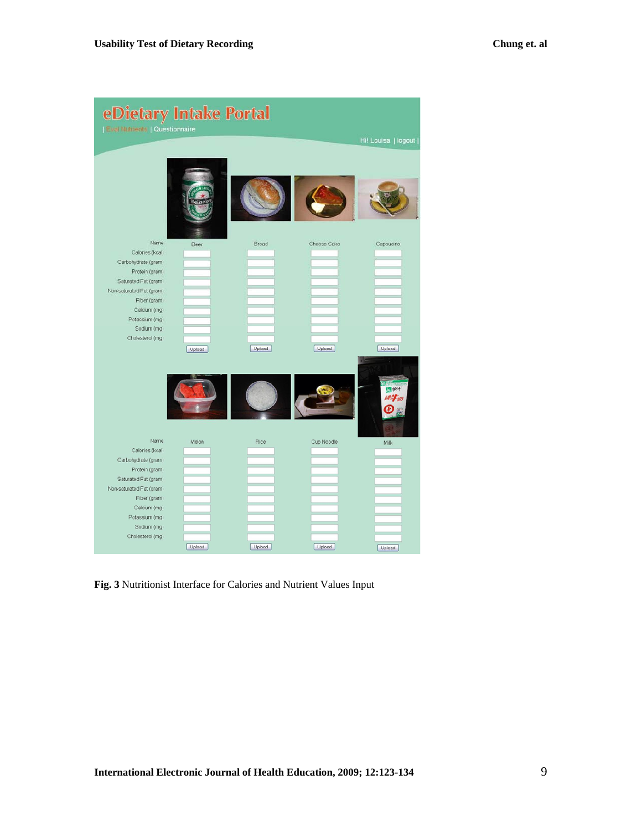| eDietary Intake Portal<br>  Eval Mutrients   Questionnaire |        |        |             |                             |
|------------------------------------------------------------|--------|--------|-------------|-----------------------------|
|                                                            |        |        |             | Hi! Louisa   logout         |
|                                                            | einc   |        |             |                             |
| Name                                                       | Beer   | Bread  | Cheese Cake | Cappucino                   |
| Calones (kcal)                                             |        |        |             |                             |
| Carbohydrate (gram)                                        |        |        |             |                             |
| Protein (gram)<br>Saturated Fat (gram)                     |        |        |             |                             |
| Non-saturated Fat (gram)                                   |        |        |             |                             |
| Fiber (gram)                                               |        |        |             |                             |
| Calcium (mg)                                               |        |        |             |                             |
| Potassium (mg)                                             |        |        |             |                             |
| Sodium (mg)                                                |        |        |             |                             |
| Cholesterol (mg)                                           |        |        |             |                             |
|                                                            | Upload | Upload | Upload      | Upload<br>图象半<br>$10 - 700$ |
| Name<br>Calories (kcal)                                    | Melon  | Rice   | Cup Noodle  | Milk                        |
| Carbohydrate (gram)                                        |        |        |             |                             |
| Protein (gram)                                             |        |        |             |                             |
| Saturated Fat (gram)                                       |        |        |             |                             |
| Non-saturated Fat (gram)                                   |        |        |             |                             |
| Fiber (gram)                                               |        |        |             |                             |
| Calcium (mg)                                               |        |        |             |                             |
| Potassium (mg)                                             |        |        |             |                             |
| Sodium (mg)                                                |        |        |             |                             |
| Cholesterol (mg)                                           | Upload | Upload | Upload      | Upload                      |

**Fig. 3** Nutritionist Interface for Calories and Nutrient Values Input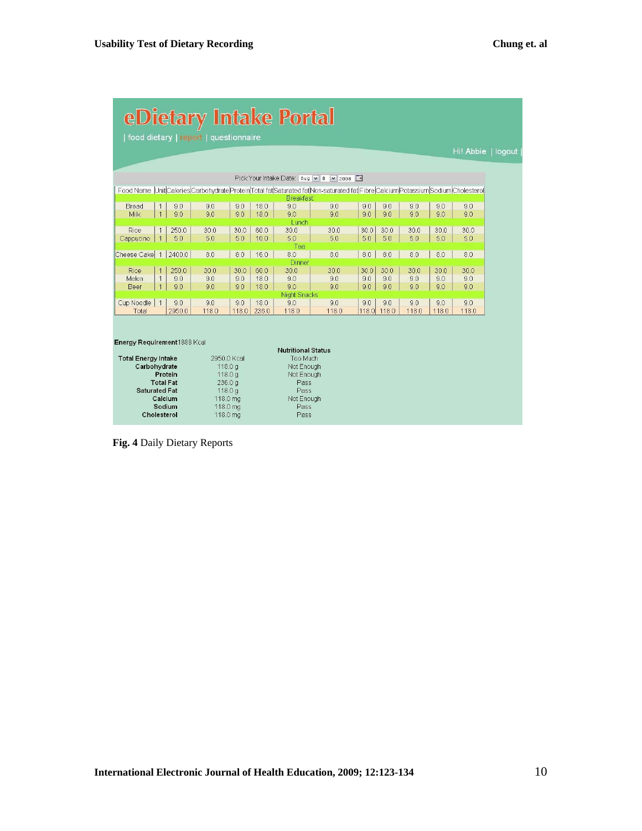| <b>eDietary Intake Portal</b> |                |                       |                                       |                      |       |                            |                                                                                                                                   |       |       |       |       |       |                    |
|-------------------------------|----------------|-----------------------|---------------------------------------|----------------------|-------|----------------------------|-----------------------------------------------------------------------------------------------------------------------------------|-------|-------|-------|-------|-------|--------------------|
|                               |                |                       | food dietary   report   questionnaire |                      |       |                            |                                                                                                                                   |       |       |       |       |       |                    |
|                               |                |                       |                                       |                      |       |                            |                                                                                                                                   |       |       |       |       |       | Hi! Abbie   logout |
|                               |                |                       |                                       |                      |       |                            |                                                                                                                                   |       |       |       |       |       |                    |
|                               |                |                       |                                       |                      |       |                            | Pick Your Intake Date: Aug  v 8  v 2008   □                                                                                       |       |       |       |       |       |                    |
|                               |                |                       |                                       |                      |       | <b>Breakfast</b>           | Food Name Unit Calories Carbohydrate Protein Total fat Saturated fat Non-saturated fat Fibre Calcium Potassium Sodium Cholesterol |       |       |       |       |       |                    |
| Bread                         |                | 9.0                   | 9.0                                   | 9.0                  | 18.0  | 9.0                        | 9.0                                                                                                                               | 9.0   | 9.0   | 9.0   | 9.0   | 9.0   |                    |
| Milk                          | $\mathbf{1}$   | 90                    | 90                                    | 90                   | 18.0  | 90<br>Lunch                | 90                                                                                                                                | 90    | 90    | 9.0   | 90    | 9.0   |                    |
| Rice                          | $\mathbf{1}$   | 250.0                 | 30.0                                  | 30.0                 | 60.0  | 30.0                       | 30.0                                                                                                                              | 30.0  | 30.0  | 30.0  | 30.0  | 30.0  |                    |
| Cappucino                     | $\overline{1}$ | 5.0                   | 5.0                                   | 5.0                  | 10.0  | 5.0                        | 5.0                                                                                                                               | 5.0   | 5.0   | 5.0   | 5.0   | 5.0   |                    |
|                               |                |                       |                                       |                      |       | Tea                        |                                                                                                                                   |       |       |       |       |       |                    |
| Cheese Cake                   | $\overline{1}$ | 2400.0                | 8.0                                   | 8.0                  | 16.0  | 8.0<br>Dinner              | 8.0                                                                                                                               | 8.0   | 8.0   | 8.0   | 8.0   | 8.0   |                    |
| Rice                          |                | 250.0                 | 30.0                                  | 30.0                 | 60.0  | 30.0                       | 300                                                                                                                               | 30.0  | 30.0  | 30.0  | 30.0  | 30.0  |                    |
| Melon                         | $\overline{1}$ | 9.0                   | 9.0                                   | 9.0                  | 18.0  | 9.0                        | 9.0                                                                                                                               | 9.0   | 9.0   | 9.0   | 9.0   | 9.0   |                    |
| Beer                          | $\overline{1}$ | 90                    | 9.0                                   | 9.0                  | 18.0  | 9.0<br><b>Night Snacks</b> | 90                                                                                                                                | 9.0   | 90    | 9.0   | 9.0   | 9.0   |                    |
| Cup Noodle                    | $\overline{1}$ | 9.0                   | 90                                    | 9.0                  | 18.0  | 90                         | 90                                                                                                                                | 90    | 90    | 90    | 9.0   | 90    |                    |
| Total                         |                | 2950.0                | 118.0                                 | 118.0                | 236.0 | 118.0                      | 118.0                                                                                                                             | 118.0 | 118.0 | 118.0 | 118.0 | 118.0 |                    |
|                               |                |                       |                                       |                      |       |                            |                                                                                                                                   |       |       |       |       |       |                    |
| Energy Requirement1888 Kcal   |                |                       |                                       |                      |       |                            |                                                                                                                                   |       |       |       |       |       |                    |
|                               |                |                       |                                       |                      |       | <b>Nutritional Status</b>  |                                                                                                                                   |       |       |       |       |       |                    |
| <b>Total Energy Intake</b>    |                |                       |                                       | 2950.0 Kcal          |       | Too Much                   |                                                                                                                                   |       |       |       |       |       |                    |
| Carbohydrate                  |                | Protein               |                                       | 118.0q<br>118.0 g    |       | Not Enough<br>Not Enough   |                                                                                                                                   |       |       |       |       |       |                    |
|                               |                | <b>Total Fat</b>      |                                       | 236.0 <sub>q</sub>   |       | Pass                       |                                                                                                                                   |       |       |       |       |       |                    |
| <b>Saturated Fat</b>          |                |                       |                                       | 118.0q               |       | Pass                       |                                                                                                                                   |       |       |       |       |       |                    |
|                               |                | Calcium               |                                       | 118.0 mg             |       | Not Enough                 |                                                                                                                                   |       |       |       |       |       |                    |
|                               |                | Sodium<br>Cholesterol |                                       | 118.0 mg<br>118.0 mg |       | Pass<br>Pass               |                                                                                                                                   |       |       |       |       |       |                    |
|                               |                |                       |                                       |                      |       |                            |                                                                                                                                   |       |       |       |       |       |                    |

 **Fig. 4** Daily Dietary Reports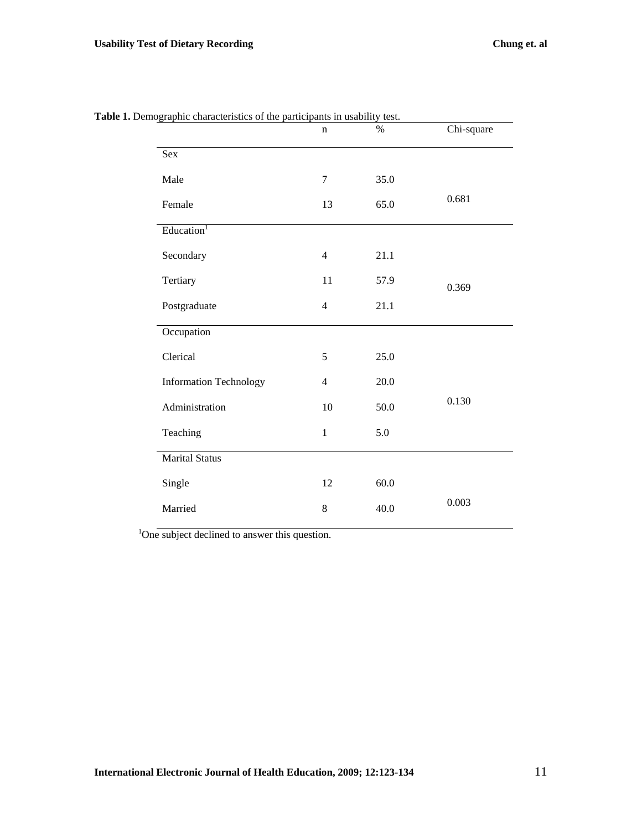| ,,,,,<br>enaracteristics of the partier | pana m abaonn<br>$\mathbf n$ | <br>$\%$ | Chi-square |
|-----------------------------------------|------------------------------|----------|------------|
| Sex                                     |                              |          |            |
| Male                                    | $\tau$                       | 35.0     |            |
| Female                                  | 13                           | 65.0     | 0.681      |
| Education <sup>1</sup>                  |                              |          |            |
| Secondary                               | $\overline{4}$               | 21.1     |            |
| Tertiary                                | 11                           | 57.9     | 0.369      |
| Postgraduate                            | $\overline{4}$               | 21.1     |            |
| Occupation                              |                              |          |            |
| Clerical                                | 5                            | 25.0     |            |
| <b>Information Technology</b>           | $\overline{4}$               | 20.0     |            |
| Administration                          | 10                           | 50.0     | 0.130      |
| Teaching                                | $\mathbf{1}$                 | 5.0      |            |
| Marital Status                          |                              |          |            |
| Single                                  | 12                           | 60.0     |            |
| Married                                 | 8                            | 40.0     | 0.003      |
|                                         |                              |          |            |

**Table 1.** Demographic characteristics of the participants in usability test.

<sup>1</sup>One subject declined to answer this question.